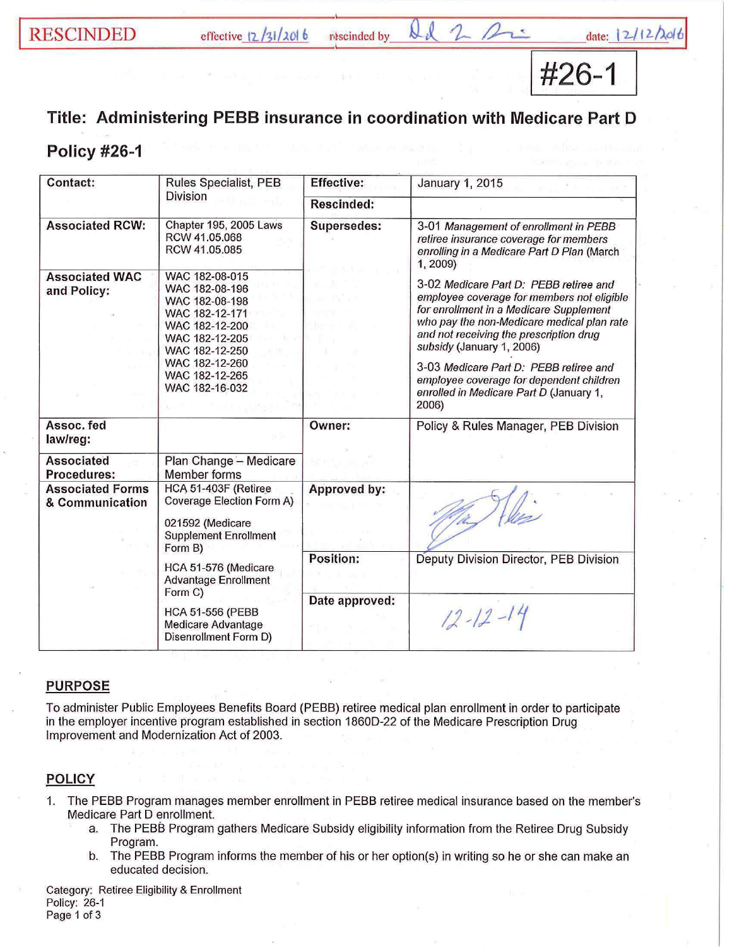# RESCINDED effective  $12/31/2016$  rescinded by  $2d$  2 2 date:

#26-1

## Title: Administering PEBB insurance in coordination with Medicare Part D

## Policy #26-1

| Contact:                                   | Rules Specialist, PEB                                                                                                                                                            | <b>Effective:</b> | January 1, 2015                                                                                                                                                                                                                                                                                                                                                                                 |
|--------------------------------------------|----------------------------------------------------------------------------------------------------------------------------------------------------------------------------------|-------------------|-------------------------------------------------------------------------------------------------------------------------------------------------------------------------------------------------------------------------------------------------------------------------------------------------------------------------------------------------------------------------------------------------|
|                                            | <b>Division</b>                                                                                                                                                                  | <b>Rescinded:</b> |                                                                                                                                                                                                                                                                                                                                                                                                 |
| <b>Associated RCW:</b>                     | Chapter 195, 2005 Laws<br>RCW 41.05.068<br>RCW 41.05.085                                                                                                                         | Supersedes:       | 3-01 Management of enrollment in PEBB<br>retiree insurance coverage for members<br>enrolling in a Medicare Part D Plan (March<br>1, 2009)                                                                                                                                                                                                                                                       |
| <b>Associated WAC</b><br>and Policy:       | WAC 182-08-015<br>WAC 182-08-196<br>WAC 182-08-198<br>WAC 182-12-171<br>WAC 182-12-200<br>WAC 182-12-205<br>WAC 182-12-250<br>WAC 182-12-260<br>WAC 182-12-265<br>WAC 182-16-032 |                   | 3-02 Medicare Part D: PEBB retiree and<br>employee coverage for members not eligible<br>for enrollment in a Medicare Supplement<br>who pay the non-Medicare medical plan rate<br>and not receiving the prescription drug<br>subsidy (January 1, 2006)<br>3-03 Medicare Part D: PEBB retiree and<br>employee coverage for dependent children<br>enrolled in Medicare Part D (January 1,<br>2006) |
| Assoc. fed<br>law/reg:                     |                                                                                                                                                                                  | Owner:            | Policy & Rules Manager, PEB Division                                                                                                                                                                                                                                                                                                                                                            |
| <b>Associated</b><br>Procedures:           | Plan Change - Medicare<br>Member forms                                                                                                                                           |                   |                                                                                                                                                                                                                                                                                                                                                                                                 |
| <b>Associated Forms</b><br>& Communication | HCA 51-403F (Retiree<br>Coverage Election Form A)<br>021592 (Medicare<br><b>Supplement Enrollment</b><br>Form B)                                                                 | Approved by:      |                                                                                                                                                                                                                                                                                                                                                                                                 |
|                                            | HCA 51-576 (Medicare<br><b>Advantage Enrollment</b><br>Form C)<br><b>HCA 51-556 (PEBB</b><br>Medicare Advantage<br>Disenrollment Form D)                                         | Position:         | Deputy Division Director, PEB Division                                                                                                                                                                                                                                                                                                                                                          |
|                                            |                                                                                                                                                                                  | Date approved:    | $12 - 12 - 14$                                                                                                                                                                                                                                                                                                                                                                                  |

### PURPOSE

To administer Public Employees Benefits Board (PEBB) retiree medical plan enrollment in order to participate in the employer incentive program established in section 1860D-22 of the Medicare Prescription Drug Improvement and Modernization Act of 2003.

### **POLICY**

- 1. The PEBB Program manages member enrollment in PEBB retiree medical insurance based on the member's Medicare Part D enrollment.
	- a. The PEBB Program gathers Medicare Subsidy eligibility information from the Retiree Drug Subsidy Program.
	- b. The PEBB Program informs the member of his or her option(s) in writing so he or she can make an educated decision.

Category: Retiree Eligibility & Enrollment Policy: 26-1 Page 1 of 3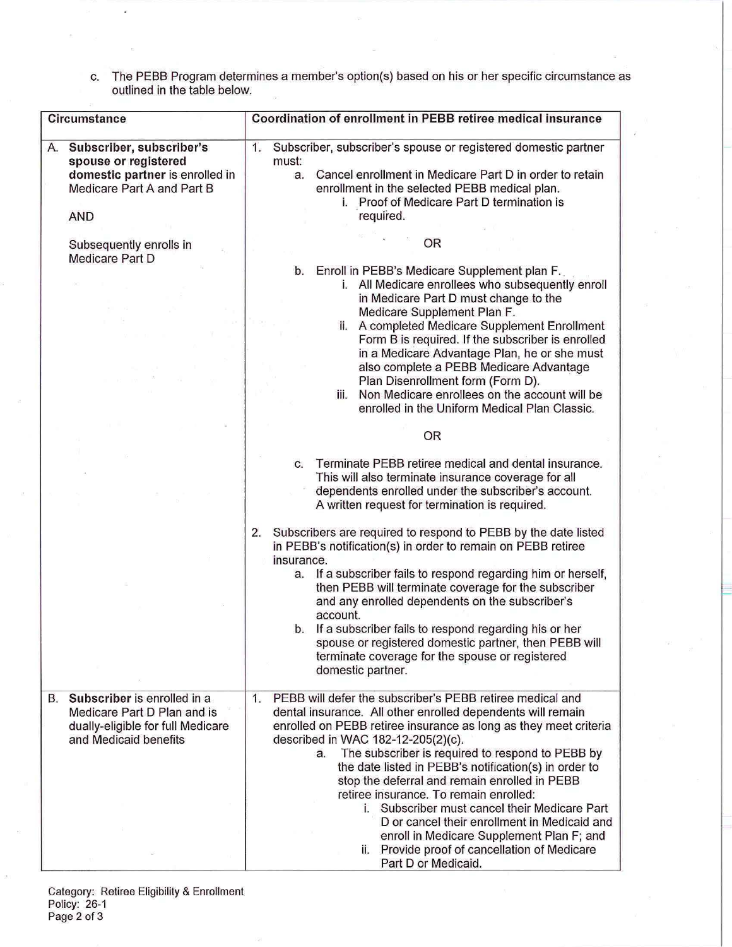c. The PEBB Program determines a member's option(s) based on his or her specific circumstance as outlined in the table below.

| Circumstance                                                                                                                                                                        | Coordination of enrollment in PEBB retiree medical insurance                                                                                                                                                                                                                                                                                                                                                                                                                                                                                                                                                                                                                                                                                               |
|-------------------------------------------------------------------------------------------------------------------------------------------------------------------------------------|------------------------------------------------------------------------------------------------------------------------------------------------------------------------------------------------------------------------------------------------------------------------------------------------------------------------------------------------------------------------------------------------------------------------------------------------------------------------------------------------------------------------------------------------------------------------------------------------------------------------------------------------------------------------------------------------------------------------------------------------------------|
| Subscriber, subscriber's<br>А.<br>spouse or registered<br>domestic partner is enrolled in<br>Medicare Part A and Part B<br><b>AND</b><br>Subsequently enrolls in<br>Medicare Part D | Subscriber, subscriber's spouse or registered domestic partner<br>1.<br>must:<br>Cancel enrollment in Medicare Part D in order to retain<br>a.<br>enrollment in the selected PEBB medical plan.<br>i. Proof of Medicare Part D termination is<br>required.<br><b>OR</b><br>Enroll in PEBB's Medicare Supplement plan F.<br>b.<br>i. All Medicare enrollees who subsequently enroll<br>in Medicare Part D must change to the<br>Medicare Supplement Plan F.<br>ii. A completed Medicare Supplement Enrollment<br>Form B is required. If the subscriber is enrolled<br>in a Medicare Advantage Plan, he or she must<br>also complete a PEBB Medicare Advantage<br>Plan Disenrollment form (Form D).<br>Non Medicare enrollees on the account will be<br>iii. |
|                                                                                                                                                                                     | enrolled in the Uniform Medical Plan Classic.<br>OR                                                                                                                                                                                                                                                                                                                                                                                                                                                                                                                                                                                                                                                                                                        |
|                                                                                                                                                                                     | Terminate PEBB retiree medical and dental insurance.<br>$\mathbf{C}$ .<br>This will also terminate insurance coverage for all<br>dependents enrolled under the subscriber's account.<br>A written request for termination is required.                                                                                                                                                                                                                                                                                                                                                                                                                                                                                                                     |
|                                                                                                                                                                                     | Subscribers are required to respond to PEBB by the date listed<br>2.<br>in PEBB's notification(s) in order to remain on PEBB retiree<br>insurance.<br>If a subscriber fails to respond regarding him or herself,<br>a.<br>then PEBB will terminate coverage for the subscriber<br>and any enrolled dependents on the subscriber's<br>account.<br>b. If a subscriber fails to respond regarding his or her<br>spouse or registered domestic partner, then PEBB will<br>terminate coverage for the spouse or registered<br>domestic partner.                                                                                                                                                                                                                 |
| Subscriber is enrolled in a<br>В.<br>Medicare Part D Plan and is<br>dually-eligible for full Medicare<br>and Medicaid benefits                                                      | PEBB will defer the subscriber's PEBB retiree medical and<br>1.<br>dental insurance. All other enrolled dependents will remain<br>enrolled on PEBB retiree insurance as long as they meet criteria<br>described in WAC 182-12-205(2)(c).<br>The subscriber is required to respond to PEBB by<br>a.<br>the date listed in PEBB's notification(s) in order to<br>stop the deferral and remain enrolled in PEBB<br>retiree insurance. To remain enrolled:<br>i. Subscriber must cancel their Medicare Part<br>D or cancel their enrollment in Medicaid and<br>enroll in Medicare Supplement Plan F; and<br>Provide proof of cancellation of Medicare<br>Part D or Medicaid.                                                                                   |